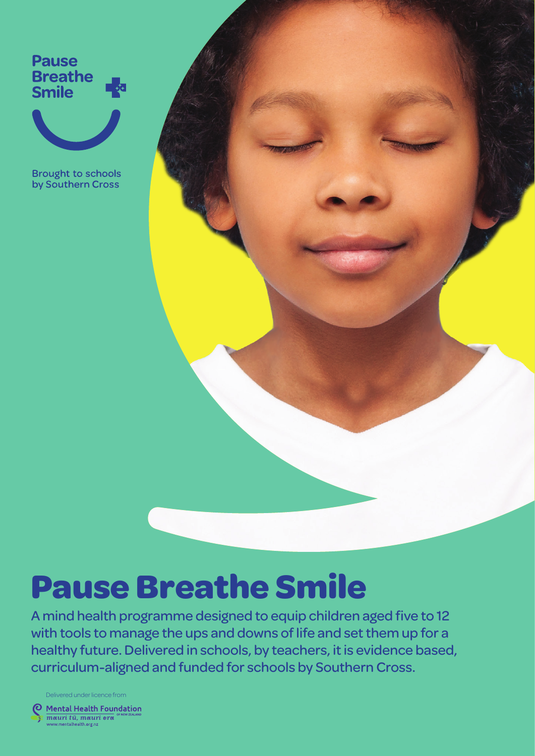**Pause Breathe Smile** 



**Brought to schools** by Southern Cross



# **Pause Breathe Smile**

A mind health programme designed to equip children aged five to 12 with tools to manage the ups and downs of life and set them up for a healthy future. Delivered in schools, by teachers, it is evidence based, curriculum-aligned and funded for schools by Southern Cross.

Delivered under licence from

**Mental Health Foundation** meuri tū, meuri <mark>ere</mark>l w.mentalhealth.org.n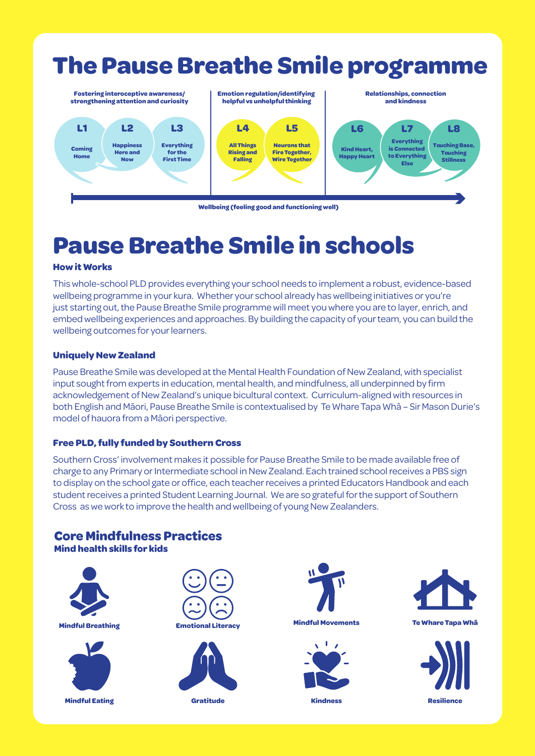

**Wellbeing (feeling good and functioning well)**

# **Pause Breathe Smile in schools**

#### **How it Works**

This whole-school PLD provides everything your school needs to implement a robust, evidence-based wellbeing programme in your kura. Whether your school already has wellbeing initiatives or you're just starting out, the Pause Breathe Smile programme will meet you where you are to layer, enrich, and embed wellbeing experiences and approaches. By building the capacity of your team, you can build the wellbeing outcomes for your learners.

#### **Uniquely New Zealand**

Pause Breathe Smile was developed at the Mental Health Foundation of New Zealand, with specialist input sought from experts in education, mental health, and mindfulness, all underpinned by firm acknowledgement of New Zealand's unique bicultural context. Curriculum-aligned with resources in both English and Māori, Pause Breathe Smile is contextualised by Te Whare Tapa Whā – Sir Mason Durie's model of hauora from a Māori perspective.

### **Free PLD, fully funded by Southern Cross**

Southern Cross' involvement makes it possible for Pause Breathe Smile to be made available free of charge to any Primary or Intermediate school in New Zealand. Each trained school receives a PBS sign to display on the school gate or office, each teacher receives a printed Educators Handbook and each student receives a printed Student Learning Journal. We are so grateful for the support of Southern Cross as we work to improve the health and wellbeing of young New Zealanders.

### **Core Mindfulness Practices**

**Mind health skills for kids**





**Mindful Eating Gratitude Kindness Resilience**











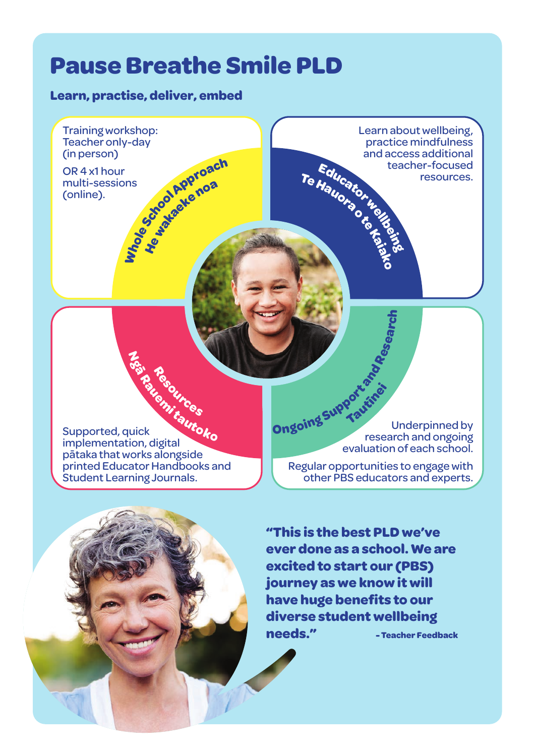# **Pause Breathe Smile PLD**

### **Learn, practise, deliver, embed**

Training workshop: Teacher only-day (in person) OR 4 x1 hour multi-sessions (online). **He wakaeke noa** IIIS Super Coach

**Resources**

Learn about wellbeing, practice mindfulness and access additional teacher-focused resources. **TeHauora ote Kaiako** Educatoruelle

Supported, quick implementation, digital pātaka that works alongside printed Educator Handbooks and Student Learning Journals. **Ngā Rauemi tautoko**

Underpinned by research and ongoing evaluation of each school. **O**<br>Digital supportations **Tautīnei**

**h**

Regular opportunities to engage with other PBS educators and experts.

**"This is the best PLD we've ever done as a school. We are excited to start our (PBS) journey as we know it will have huge benefits to our diverse student wellbeing needs." - Teacher Feedback**